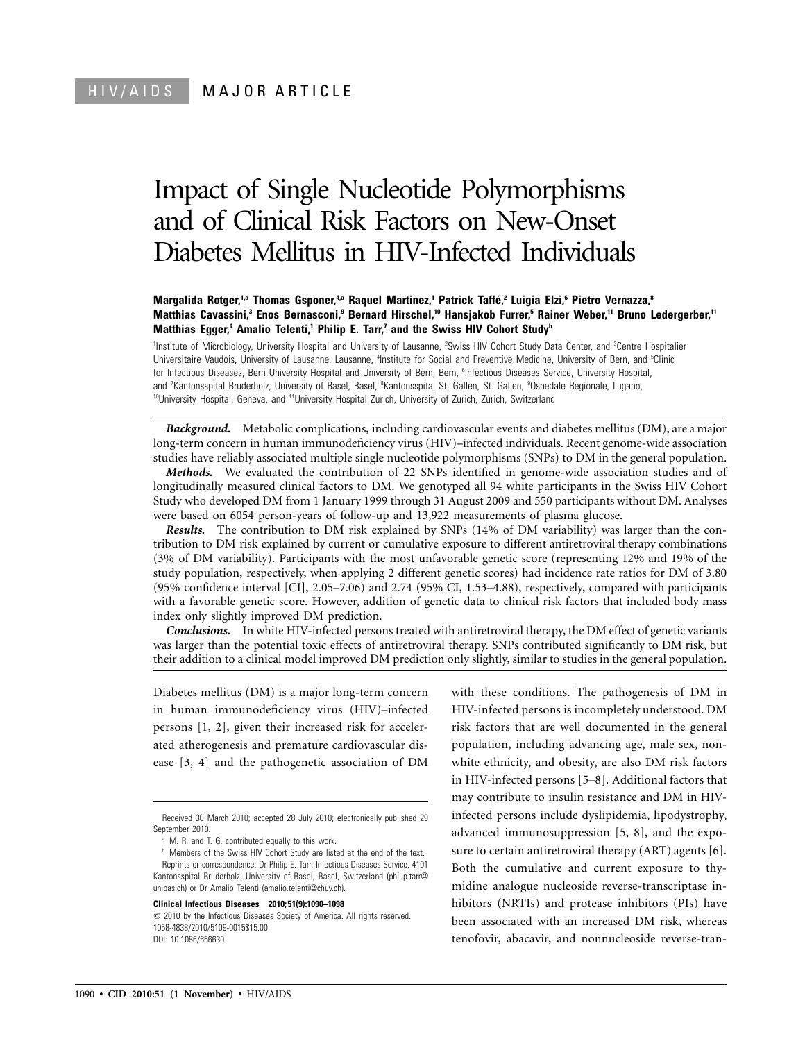# Impact of Single Nucleotide Polymorphisms and of Clinical Risk Factors on New-Onset Diabetes Mellitus in HIV-Infected Individuals

## **Margalida Rotger,1,a Thomas Gsponer,4,a Raquel Martinez,1 Patrick Taffe´ ,2 Luigia Elzi,6 Pietro Vernazza,8 Matthias Cavassini,3 Enos Bernasconi,9 Bernard Hirschel,10 Hansjakob Furrer,5 Rainer Weber,11 Bruno Ledergerber,11 Matthias Egger,<sup>4</sup> Amalio Telenti,<sup>1</sup> Philip E. Tarr,<sup>7</sup> and the Swiss HIV Cohort Study<sup>b</sup>**

<sup>1</sup>Institute of Microbiology, University Hospital and University of Lausanne, <sup>2</sup>Swiss HIV Cohort Study Data Center, and <sup>3</sup>Centre Hospitalier Universitaire Vaudois, University of Lausanne, Lausanne, <sup>4</sup>Institute for Social and Preventive Medicine, University of Bern, and <sup>5</sup>Clinic for Infectious Diseases, Bern University Hospital and University of Bern, Bern, <sup>6</sup>Infectious Diseases Service, University Hospital, and 7Kantonsspital Bruderholz, University of Basel, Basel, <sup>8</sup>Kantonsspital St. Gallen, St. Gallen, <sup>9</sup>Ospedale Regionale, Lugano, <sup>10</sup>University Hospital, Geneva, and <sup>11</sup>University Hospital Zurich, University of Zurich, Zurich, Switzerland

*Background.* Metabolic complications, including cardiovascular events and diabetes mellitus (DM), are a major long-term concern in human immunodeficiency virus (HIV)–infected individuals. Recent genome-wide association studies have reliably associated multiple single nucleotide polymorphisms (SNPs) to DM in the general population.

*Methods.* We evaluated the contribution of 22 SNPs identified in genome-wide association studies and of longitudinally measured clinical factors to DM. We genotyped all 94 white participants in the Swiss HIV Cohort Study who developed DM from 1 January 1999 through 31 August 2009 and 550 participants without DM. Analyses were based on 6054 person-years of follow-up and 13,922 measurements of plasma glucose.

*Results.* The contribution to DM risk explained by SNPs (14% of DM variability) was larger than the contribution to DM risk explained by current or cumulative exposure to different antiretroviral therapy combinations (3% of DM variability). Participants with the most unfavorable genetic score (representing 12% and 19% of the study population, respectively, when applying 2 different genetic scores) had incidence rate ratios for DM of 3.80 (95% confidence interval [CI], 2.05–7.06) and 2.74 (95% CI, 1.53–4.88), respectively, compared with participants with a favorable genetic score. However, addition of genetic data to clinical risk factors that included body mass index only slightly improved DM prediction.

*Conclusions.* In white HIV-infected persons treated with antiretroviral therapy, the DM effect of genetic variants was larger than the potential toxic effects of antiretroviral therapy. SNPs contributed significantly to DM risk, but their addition to a clinical model improved DM prediction only slightly, similar to studies in the general population.

Diabetes mellitus (DM) is a major long-term concern in human immunodeficiency virus (HIV)–infected persons [1, 2], given their increased risk for accelerated atherogenesis and premature cardiovascular disease [3, 4] and the pathogenetic association of DM

**Clinical Infectious Diseases 2010; 51(9):1090–1098**

 $\degree$  2010 by the Infectious Diseases Society of America. All rights reserved. 1058-4838/2010/5109-0015\$15.00 DOI: 10.1086/656630

with these conditions. The pathogenesis of DM in HIV-infected persons is incompletely understood. DM risk factors that are well documented in the general population, including advancing age, male sex, nonwhite ethnicity, and obesity, are also DM risk factors in HIV-infected persons [5–8]. Additional factors that may contribute to insulin resistance and DM in HIVinfected persons include dyslipidemia, lipodystrophy, advanced immunosuppression [5, 8], and the exposure to certain antiretroviral therapy (ART) agents [6]. Both the cumulative and current exposure to thymidine analogue nucleoside reverse-transcriptase inhibitors (NRTIs) and protease inhibitors (PIs) have been associated with an increased DM risk, whereas tenofovir, abacavir, and nonnucleoside reverse-tran-

Received 30 March 2010; accepted 28 July 2010; electronically published 29 September 2010.

<sup>&</sup>lt;sup>a</sup> M. R. and T. G. contributed equally to this work.

**b** Members of the Swiss HIV Cohort Study are listed at the end of the text. Reprints or correspondence: Dr Philip E. Tarr, Infectious Diseases Service, 4101 Kantonsspital Bruderholz, University of Basel, Basel, Switzerland (philip.tarr@ unibas.ch) or Dr Amalio Telenti (amalio.telenti@chuv.ch).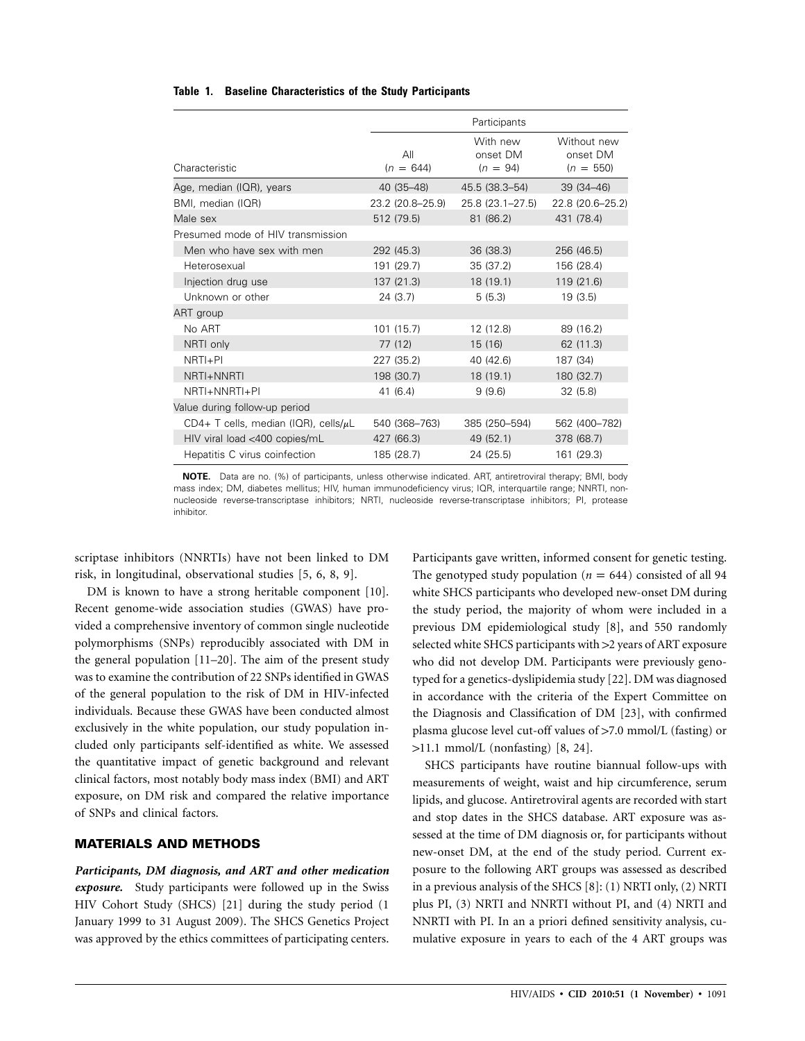#### **Table 1. Baseline Characteristics of the Study Participants**

|                                            | Participants       |                                    |                                        |
|--------------------------------------------|--------------------|------------------------------------|----------------------------------------|
| Characteristic                             | All<br>$(n = 644)$ | With new<br>onset DM<br>$(n = 94)$ | Without new<br>onset DM<br>$(n = 550)$ |
| Age, median (IQR), years                   | 40 (35-48)         | 45.5 (38.3-54)                     | $39(34 - 46)$                          |
| BMI, median (IQR)                          | 23.2 (20.8-25.9)   | 25.8 (23.1–27.5)                   | 22.8 (20.6-25.2)                       |
| Male sex                                   | 512 (79.5)         | 81 (86.2)                          | 431 (78.4)                             |
| Presumed mode of HIV transmission          |                    |                                    |                                        |
| Men who have sex with men                  | 292 (45.3)         | 36 (38.3)                          | 256 (46.5)                             |
| Heterosexual                               | 191 (29.7)         | 35(37.2)                           | 156 (28.4)                             |
| Injection drug use                         | 137 (21.3)         | 18 (19.1)                          | 119 (21.6)                             |
| Unknown or other                           | 24 (3.7)           | 5(5.3)                             | 19(3.5)                                |
| ART group                                  |                    |                                    |                                        |
| No ART                                     | 101 (15.7)         | 12 (12.8)                          | 89 (16.2)                              |
| NRTI only                                  | 77(12)             | 15 (16)                            | 62 (11.3)                              |
| NRTI+PI                                    | 227 (35.2)         | 40 (42.6)                          | 187 (34)                               |
| NRTI+NNRTI                                 | 198 (30.7)         | 18 (19.1)                          | 180 (32.7)                             |
| NRTI+NNRTI+PI                              | 41 (6.4)           | 9(9.6)                             | 32(5.8)                                |
| Value during follow-up period              |                    |                                    |                                        |
| CD4+ T cells, median (IQR), cells/ $\mu$ L | 540 (368-763)      | 385 (250-594)                      | 562 (400-782)                          |
| HIV viral load <400 copies/mL              | 427 (66.3)         | 49 (52.1)                          | 378 (68.7)                             |
| Hepatitis C virus coinfection              | 185 (28.7)         | 24 (25.5)                          | 161 (29.3)                             |

**NOTE.** Data are no. (%) of participants, unless otherwise indicated. ART, antiretroviral therapy; BMI, body mass index; DM, diabetes mellitus; HIV, human immunodeficiency virus; IQR, interquartile range; NNRTI, nonnucleoside reverse-transcriptase inhibitors; NRTI, nucleoside reverse-transcriptase inhibitors; PI, protease inhibitor.

scriptase inhibitors (NNRTIs) have not been linked to DM risk, in longitudinal, observational studies [5, 6, 8, 9].

DM is known to have a strong heritable component [10]. Recent genome-wide association studies (GWAS) have provided a comprehensive inventory of common single nucleotide polymorphisms (SNPs) reproducibly associated with DM in the general population [11–20]. The aim of the present study was to examine the contribution of 22 SNPs identified in GWAS of the general population to the risk of DM in HIV-infected individuals. Because these GWAS have been conducted almost exclusively in the white population, our study population included only participants self-identified as white. We assessed the quantitative impact of genetic background and relevant clinical factors, most notably body mass index (BMI) and ART exposure, on DM risk and compared the relative importance of SNPs and clinical factors.

# **MATERIALS AND METHODS**

*Participants, DM diagnosis, and ART and other medication exposure.* Study participants were followed up in the Swiss HIV Cohort Study (SHCS) [21] during the study period (1 January 1999 to 31 August 2009). The SHCS Genetics Project was approved by the ethics committees of participating centers.

Participants gave written, informed consent for genetic testing. The genotyped study population ( $n = 644$ ) consisted of all 94 white SHCS participants who developed new-onset DM during the study period, the majority of whom were included in a previous DM epidemiological study [8], and 550 randomly selected white SHCS participants with >2 years of ART exposure who did not develop DM. Participants were previously genotyped for a genetics-dyslipidemia study [22]. DM was diagnosed in accordance with the criteria of the Expert Committee on the Diagnosis and Classification of DM [23], with confirmed plasma glucose level cut-off values of >7.0 mmol/L (fasting) or  $>11.1$  mmol/L (nonfasting) [8, 24].

SHCS participants have routine biannual follow-ups with measurements of weight, waist and hip circumference, serum lipids, and glucose. Antiretroviral agents are recorded with start and stop dates in the SHCS database. ART exposure was assessed at the time of DM diagnosis or, for participants without new-onset DM, at the end of the study period. Current exposure to the following ART groups was assessed as described in a previous analysis of the SHCS [8]: (1) NRTI only, (2) NRTI plus PI, (3) NRTI and NNRTI without PI, and (4) NRTI and NNRTI with PI. In an a priori defined sensitivity analysis, cumulative exposure in years to each of the 4 ART groups was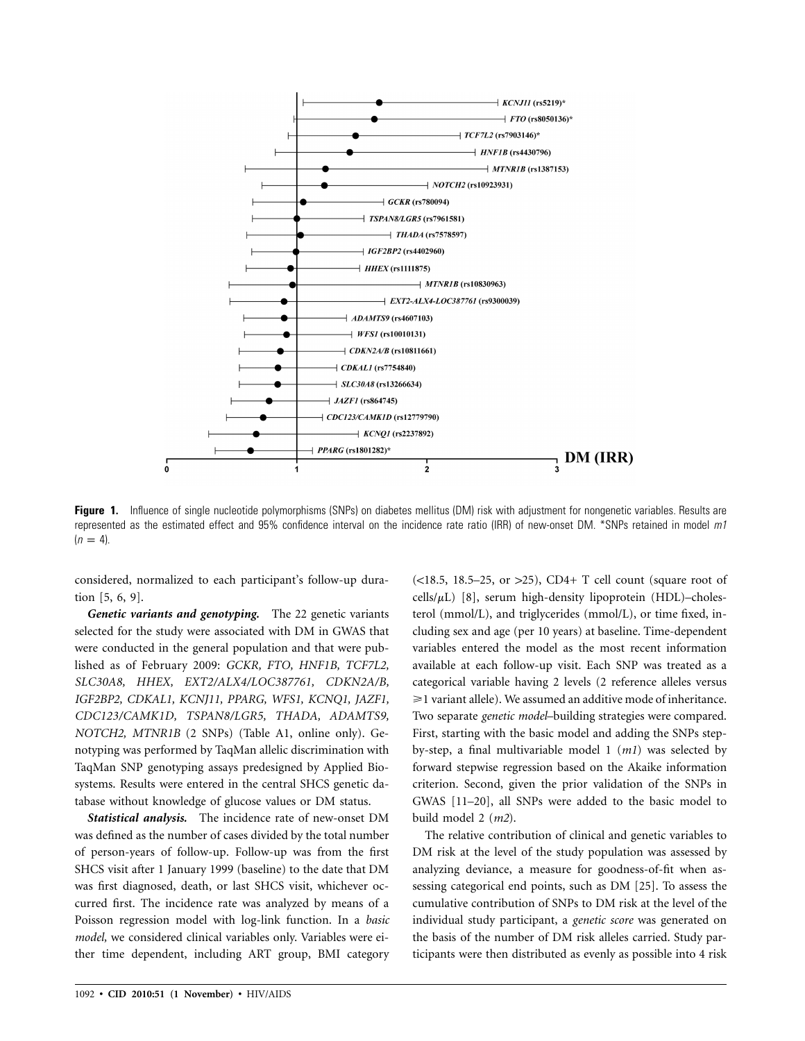

**Figure 1.** Influence of single nucleotide polymorphisms (SNPs) on diabetes mellitus (DM) risk with adjustment for nongenetic variables. Results are represented as the estimated effect and 95% confidence interval on the incidence rate ratio (IRR) of new-onset DM. \*SNPs retained in model *m1*  $(n = 4)$ .

considered, normalized to each participant's follow-up duration [5, 6, 9].

*Genetic variants and genotyping.* The 22 genetic variants selected for the study were associated with DM in GWAS that were conducted in the general population and that were published as of February 2009: *GCKR, FTO, HNF1B, TCF7L2, SLC30A8, HHEX, EXT2/ALX4/LOC387761, CDKN2A/B, IGF2BP2, CDKAL1, KCNJ11, PPARG, WFS1, KCNQ1, JAZF1, CDC123/CAMK1D, TSPAN8/LGR5, THADA, ADAMTS9, NOTCH2, MTNR1B* (2 SNPs) (Table A1, online only). Genotyping was performed by TaqMan allelic discrimination with TaqMan SNP genotyping assays predesigned by Applied Biosystems. Results were entered in the central SHCS genetic database without knowledge of glucose values or DM status.

*Statistical analysis.* The incidence rate of new-onset DM was defined as the number of cases divided by the total number of person-years of follow-up. Follow-up was from the first SHCS visit after 1 January 1999 (baseline) to the date that DM was first diagnosed, death, or last SHCS visit, whichever occurred first. The incidence rate was analyzed by means of a Poisson regression model with log-link function. In a *basic model,* we considered clinical variables only. Variables were either time dependent, including ART group, BMI category

 $(\leq 18.5, 18.5-25, \text{ or } \geq 25)$ , CD4+ T cell count (square root of cells/ $\mu$ L) [8], serum high-density lipoprotein (HDL)–cholesterol (mmol/L), and triglycerides (mmol/L), or time fixed, including sex and age (per 10 years) at baseline. Time-dependent variables entered the model as the most recent information available at each follow-up visit. Each SNP was treated as a categorical variable having 2 levels (2 reference alleles versus  $\geq 1$  variant allele). We assumed an additive mode of inheritance. Two separate *genetic model*–building strategies were compared. First, starting with the basic model and adding the SNPs stepby-step, a final multivariable model 1 (*m1*) was selected by forward stepwise regression based on the Akaike information criterion. Second, given the prior validation of the SNPs in GWAS [11–20], all SNPs were added to the basic model to build model 2 (*m2*).

The relative contribution of clinical and genetic variables to DM risk at the level of the study population was assessed by analyzing deviance, a measure for goodness-of-fit when assessing categorical end points, such as DM [25]. To assess the cumulative contribution of SNPs to DM risk at the level of the individual study participant, a *genetic score* was generated on the basis of the number of DM risk alleles carried. Study participants were then distributed as evenly as possible into 4 risk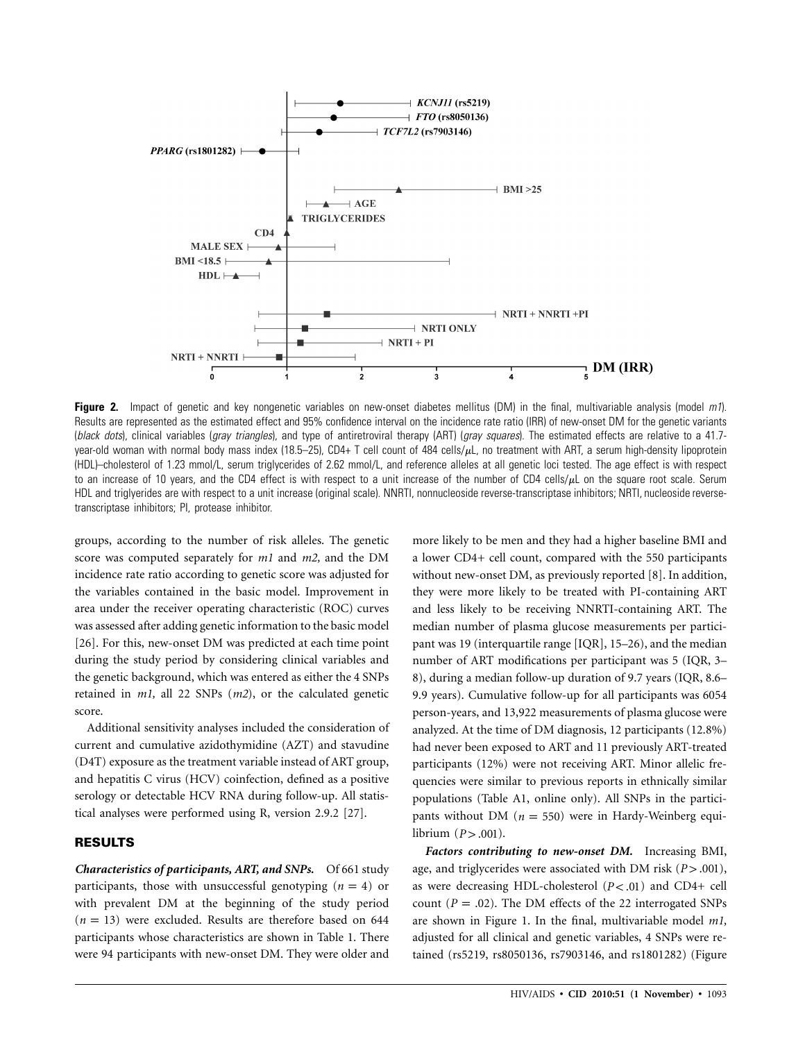

**Figure 2.** Impact of genetic and key nongenetic variables on new-onset diabetes mellitus (DM) in the final, multivariable analysis (model *m1*). Results are represented as the estimated effect and 95% confidence interval on the incidence rate ratio (IRR) of new-onset DM for the genetic variants (*black dots*), clinical variables (*gray triangles*), and type of antiretroviral therapy (ART) (*gray squares*). The estimated effects are relative to a 41.7 year-old woman with normal body mass index (18.5–25), CD4+ T cell count of 484 cells/ $\mu$ L, no treatment with ART, a serum high-density lipoprotein (HDL)–cholesterol of 1.23 mmol/L, serum triglycerides of 2.62 mmol/L, and reference alleles at all genetic loci tested. The age effect is with respect to an increase of 10 years, and the CD4 effect is with respect to a unit increase of the number of CD4 cells/ $\mu$ L on the square root scale. Serum HDL and triglyerides are with respect to a unit increase (original scale). NNRTI, nonnucleoside reverse-transcriptase inhibitors; NRTI, nucleoside reversetranscriptase inhibitors; PI, protease inhibitor.

groups, according to the number of risk alleles. The genetic score was computed separately for *m1* and *m2,* and the DM incidence rate ratio according to genetic score was adjusted for the variables contained in the basic model. Improvement in area under the receiver operating characteristic (ROC) curves was assessed after adding genetic information to the basic model [26]. For this, new-onset DM was predicted at each time point during the study period by considering clinical variables and the genetic background, which was entered as either the 4 SNPs retained in *m1,* all 22 SNPs (*m2*), or the calculated genetic score.

Additional sensitivity analyses included the consideration of current and cumulative azidothymidine (AZT) and stavudine (D4T) exposure as the treatment variable instead of ART group, and hepatitis C virus (HCV) coinfection, defined as a positive serology or detectable HCV RNA during follow-up. All statistical analyses were performed using R, version 2.9.2 [27].

## **RESULTS**

*Characteristics of participants, ART, and SNPs.* Of 661 study participants, those with unsuccessful genotyping  $(n = 4)$  or with prevalent DM at the beginning of the study period  $(n = 13)$  were excluded. Results are therefore based on 644 participants whose characteristics are shown in Table 1. There were 94 participants with new-onset DM. They were older and

more likely to be men and they had a higher baseline BMI and a lower CD4+ cell count, compared with the 550 participants without new-onset DM, as previously reported [8]. In addition, they were more likely to be treated with PI-containing ART and less likely to be receiving NNRTI-containing ART. The median number of plasma glucose measurements per participant was 19 (interquartile range [IQR], 15–26), and the median number of ART modifications per participant was 5 (IQR, 3– 8), during a median follow-up duration of 9.7 years (IQR, 8.6– 9.9 years). Cumulative follow-up for all participants was 6054 person-years, and 13,922 measurements of plasma glucose were analyzed. At the time of DM diagnosis, 12 participants (12.8%) had never been exposed to ART and 11 previously ART-treated participants (12%) were not receiving ART. Minor allelic frequencies were similar to previous reports in ethnically similar populations (Table A1, online only). All SNPs in the participants without DM ( $n = 550$ ) were in Hardy-Weinberg equilibrium ( $P > .001$ ).

*Factors contributing to new-onset DM.* Increasing BMI, age, and triglycerides were associated with DM risk  $(P > .001)$ , as were decreasing HDL-cholesterol  $(P < .01)$  and CD4+ cell count ( $P = .02$ ). The DM effects of the 22 interrogated SNPs are shown in Figure 1. In the final, multivariable model *m1,* adjusted for all clinical and genetic variables, 4 SNPs were retained (rs5219, rs8050136, rs7903146, and rs1801282) (Figure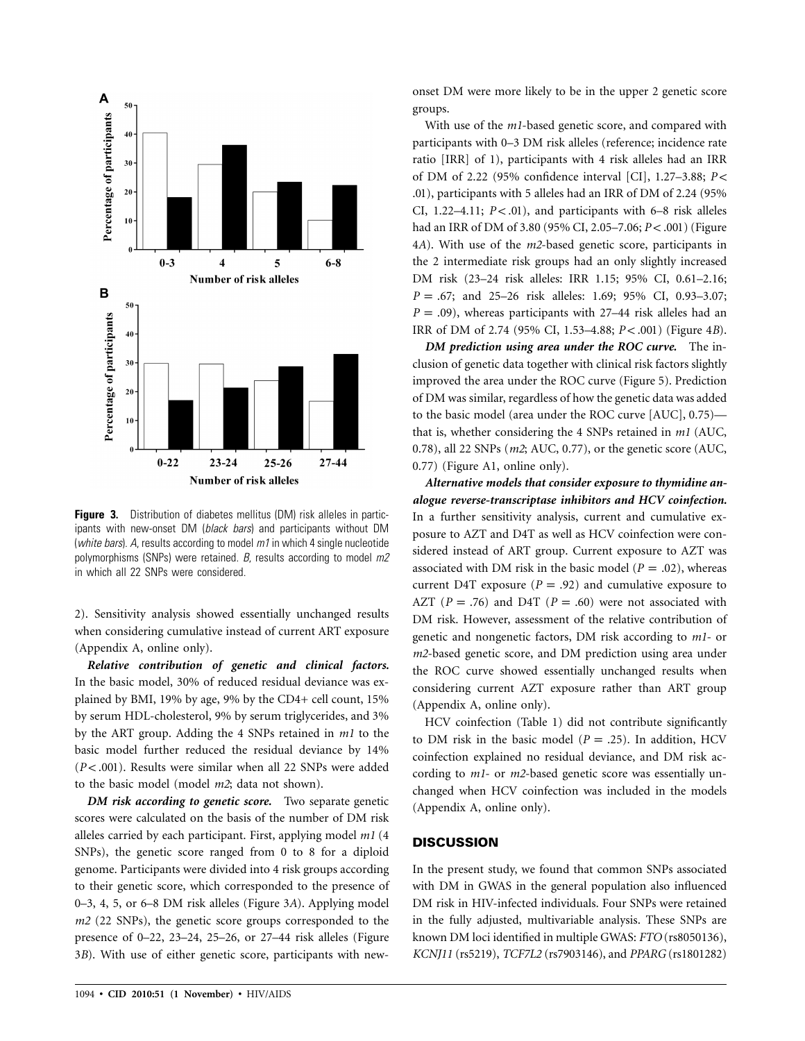

**Figure 3.** Distribution of diabetes mellitus (DM) risk alleles in participants with new-onset DM (*black bars*) and participants without DM (*white bars*). *A*, results according to model *m1* in which 4 single nucleotide polymorphisms (SNPs) were retained. *B*, results according to model *m2* in which all 22 SNPs were considered.

2). Sensitivity analysis showed essentially unchanged results when considering cumulative instead of current ART exposure (Appendix A, online only).

*Relative contribution of genetic and clinical factors.* In the basic model, 30% of reduced residual deviance was explained by BMI, 19% by age, 9% by the CD4+ cell count, 15% by serum HDL-cholesterol, 9% by serum triglycerides, and 3% by the ART group. Adding the 4 SNPs retained in *m1* to the basic model further reduced the residual deviance by 14% ( $P$ <.001). Results were similar when all 22 SNPs were added to the basic model (model *m2*; data not shown).

*DM risk according to genetic score.* Two separate genetic scores were calculated on the basis of the number of DM risk alleles carried by each participant. First, applying model *m1* (4 SNPs), the genetic score ranged from 0 to 8 for a diploid genome. Participants were divided into 4 risk groups according to their genetic score, which corresponded to the presence of 0–3, 4, 5, or 6–8 DM risk alleles (Figure 3*A*). Applying model *m2* (22 SNPs), the genetic score groups corresponded to the presence of 0–22, 23–24, 25–26, or 27–44 risk alleles (Figure 3*B*). With use of either genetic score, participants with new-

onset DM were more likely to be in the upper 2 genetic score groups.

With use of the *m1*-based genetic score, and compared with participants with 0–3 DM risk alleles (reference; incidence rate ratio [IRR] of 1), participants with 4 risk alleles had an IRR of DM of 2.22 (95% confidence interval [CI], 1.27–3.88; *P* ! .01), participants with 5 alleles had an IRR of DM of 2.24 (95% CI, 1.22-4.11;  $P < .01$ ), and participants with 6-8 risk alleles had an IRR of DM of 3.80 (95% CI, 2.05–7.06;  $P < .001$ ) (Figure 4*A*). With use of the *m2*-based genetic score, participants in the 2 intermediate risk groups had an only slightly increased DM risk (23–24 risk alleles: IRR 1.15; 95% CI, 0.61–2.16; *P* = .67; and 25-26 risk alleles: 1.69; 95% CI, 0.93-3.07;  $P = .09$ ), whereas participants with 27–44 risk alleles had an IRR of DM of 2.74 (95% CI, 1.53–4.88;  $P < .001$ ) (Figure 4*B*).

*DM prediction using area under the ROC curve.* The inclusion of genetic data together with clinical risk factors slightly improved the area under the ROC curve (Figure 5). Prediction of DM was similar, regardless of how the genetic data was added to the basic model (area under the ROC curve [AUC], 0.75) that is, whether considering the 4 SNPs retained in *m1* (AUC, 0.78), all 22 SNPs (*m2*; AUC, 0.77), or the genetic score (AUC, 0.77) (Figure A1, online only).

*Alternative models that consider exposure to thymidine analogue reverse-transcriptase inhibitors and HCV coinfection.* In a further sensitivity analysis, current and cumulative exposure to AZT and D4T as well as HCV coinfection were considered instead of ART group. Current exposure to AZT was associated with DM risk in the basic model ( $P = .02$ ), whereas current D4T exposure  $(P = .92)$  and cumulative exposure to AZT ( $P = .76$ ) and D4T ( $P = .60$ ) were not associated with DM risk. However, assessment of the relative contribution of genetic and nongenetic factors, DM risk according to *m1*- or *m2*-based genetic score, and DM prediction using area under the ROC curve showed essentially unchanged results when considering current AZT exposure rather than ART group (Appendix A, online only).

HCV coinfection (Table 1) did not contribute significantly to DM risk in the basic model  $(P = .25)$ . In addition, HCV coinfection explained no residual deviance, and DM risk according to *m1*- or *m2*-based genetic score was essentially unchanged when HCV coinfection was included in the models (Appendix A, online only).

## **DISCUSSION**

In the present study, we found that common SNPs associated with DM in GWAS in the general population also influenced DM risk in HIV-infected individuals. Four SNPs were retained in the fully adjusted, multivariable analysis. These SNPs are known DM loci identified in multiple GWAS: *FTO* (rs8050136), *KCNJ11* (rs5219), *TCF7L2* (rs7903146), and *PPARG* (rs1801282)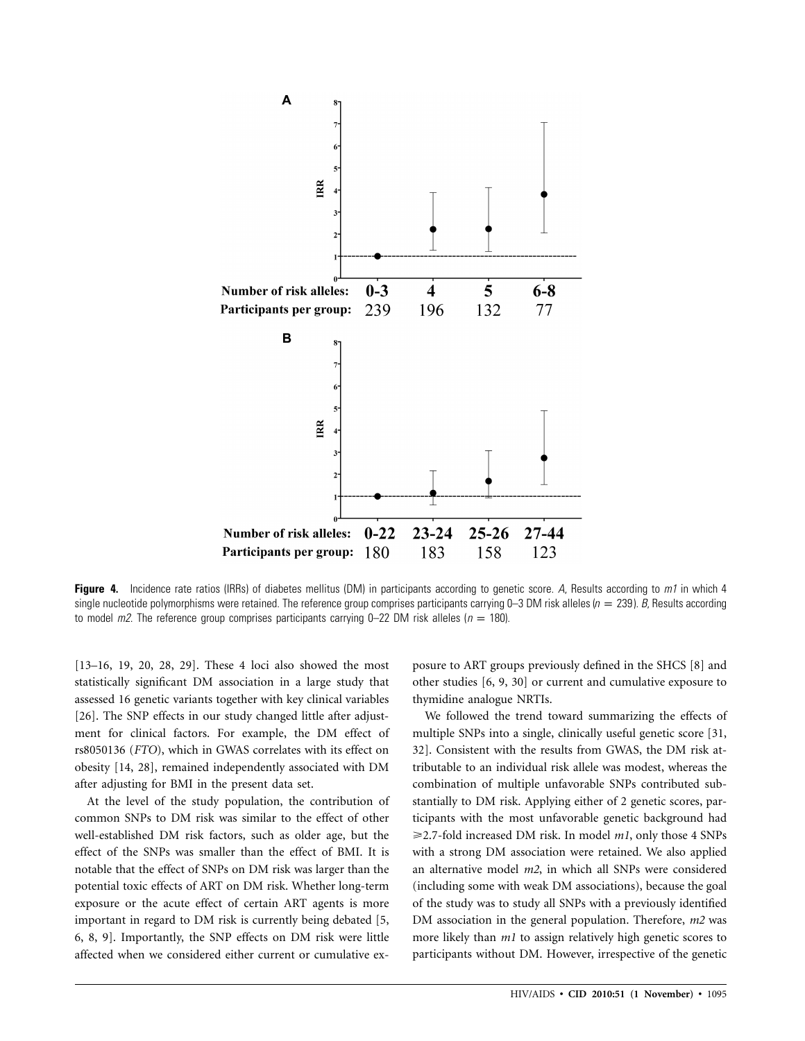

**Figure 4.** Incidence rate ratios (IRRs) of diabetes mellitus (DM) in participants according to genetic score. *A*, Results according to *m1* in which 4 single nucleotide polymorphisms were retained. The reference group comprises participants carrying 0–3 DM risk alleles  $(n = 239)$ . B, Results according to model  $mZ$ . The reference group comprises participants carrying 0–22 DM risk alleles ( $n = 180$ ).

[13–16, 19, 20, 28, 29]. These 4 loci also showed the most statistically significant DM association in a large study that assessed 16 genetic variants together with key clinical variables [26]. The SNP effects in our study changed little after adjustment for clinical factors. For example, the DM effect of rs8050136 (*FTO*), which in GWAS correlates with its effect on obesity [14, 28], remained independently associated with DM after adjusting for BMI in the present data set.

At the level of the study population, the contribution of common SNPs to DM risk was similar to the effect of other well-established DM risk factors, such as older age, but the effect of the SNPs was smaller than the effect of BMI. It is notable that the effect of SNPs on DM risk was larger than the potential toxic effects of ART on DM risk. Whether long-term exposure or the acute effect of certain ART agents is more important in regard to DM risk is currently being debated [5, 6, 8, 9]. Importantly, the SNP effects on DM risk were little affected when we considered either current or cumulative exposure to ART groups previously defined in the SHCS [8] and other studies [6, 9, 30] or current and cumulative exposure to thymidine analogue NRTIs.

We followed the trend toward summarizing the effects of multiple SNPs into a single, clinically useful genetic score [31, 32]. Consistent with the results from GWAS, the DM risk attributable to an individual risk allele was modest, whereas the combination of multiple unfavorable SNPs contributed substantially to DM risk. Applying either of 2 genetic scores, participants with the most unfavorable genetic background had 2.7-fold increased DM risk. In model *m1*, only those 4 SNPs with a strong DM association were retained. We also applied an alternative model *m2*, in which all SNPs were considered (including some with weak DM associations), because the goal of the study was to study all SNPs with a previously identified DM association in the general population. Therefore, *m2* was more likely than *m1* to assign relatively high genetic scores to participants without DM. However, irrespective of the genetic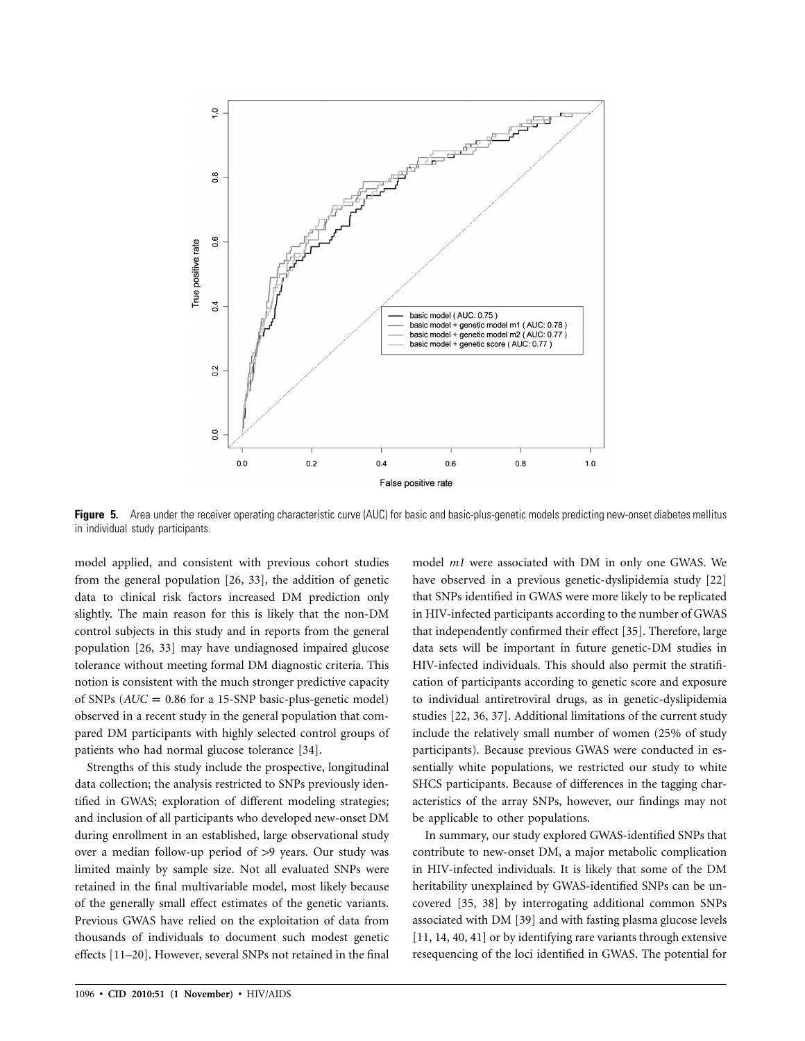

**Figure 5.** Area under the receiver operating characteristic curve (AUC) for basic and basic-plus-genetic models predicting new-onset diabetes mellitus in individual study participants.

model applied, and consistent with previous cohort studies from the general population [26, 33], the addition of genetic data to clinical risk factors increased DM prediction only slightly. The main reason for this is likely that the non-DM control subjects in this study and in reports from the general population [26, 33] may have undiagnosed impaired glucose tolerance without meeting formal DM diagnostic criteria. This notion is consistent with the much stronger predictive capacity of SNPs  $(AUC = 0.86$  for a 15-SNP basic-plus-genetic model) observed in a recent study in the general population that compared DM participants with highly selected control groups of patients who had normal glucose tolerance [34].

Strengths of this study include the prospective, longitudinal data collection; the analysis restricted to SNPs previously identified in GWAS; exploration of different modeling strategies; and inclusion of all participants who developed new-onset DM during enrollment in an established, large observational study over a median follow-up period of >9 years. Our study was limited mainly by sample size. Not all evaluated SNPs were retained in the final multivariable model, most likely because of the generally small effect estimates of the genetic variants. Previous GWAS have relied on the exploitation of data from thousands of individuals to document such modest genetic effects [11–20]. However, several SNPs not retained in the final

model *m1* were associated with DM in only one GWAS. We have observed in a previous genetic-dyslipidemia study [22] that SNPs identified in GWAS were more likely to be replicated in HIV-infected participants according to the number of GWAS that independently confirmed their effect [35]. Therefore, large data sets will be important in future genetic-DM studies in HIV-infected individuals. This should also permit the stratification of participants according to genetic score and exposure to individual antiretroviral drugs, as in genetic-dyslipidemia studies [22, 36, 37]. Additional limitations of the current study include the relatively small number of women (25% of study participants). Because previous GWAS were conducted in essentially white populations, we restricted our study to white SHCS participants. Because of differences in the tagging characteristics of the array SNPs, however, our findings may not be applicable to other populations.

In summary, our study explored GWAS-identified SNPs that contribute to new-onset DM, a major metabolic complication in HIV-infected individuals. It is likely that some of the DM heritability unexplained by GWAS-identified SNPs can be uncovered [35, 38] by interrogating additional common SNPs associated with DM [39] and with fasting plasma glucose levels [11, 14, 40, 41] or by identifying rare variants through extensive resequencing of the loci identified in GWAS. The potential for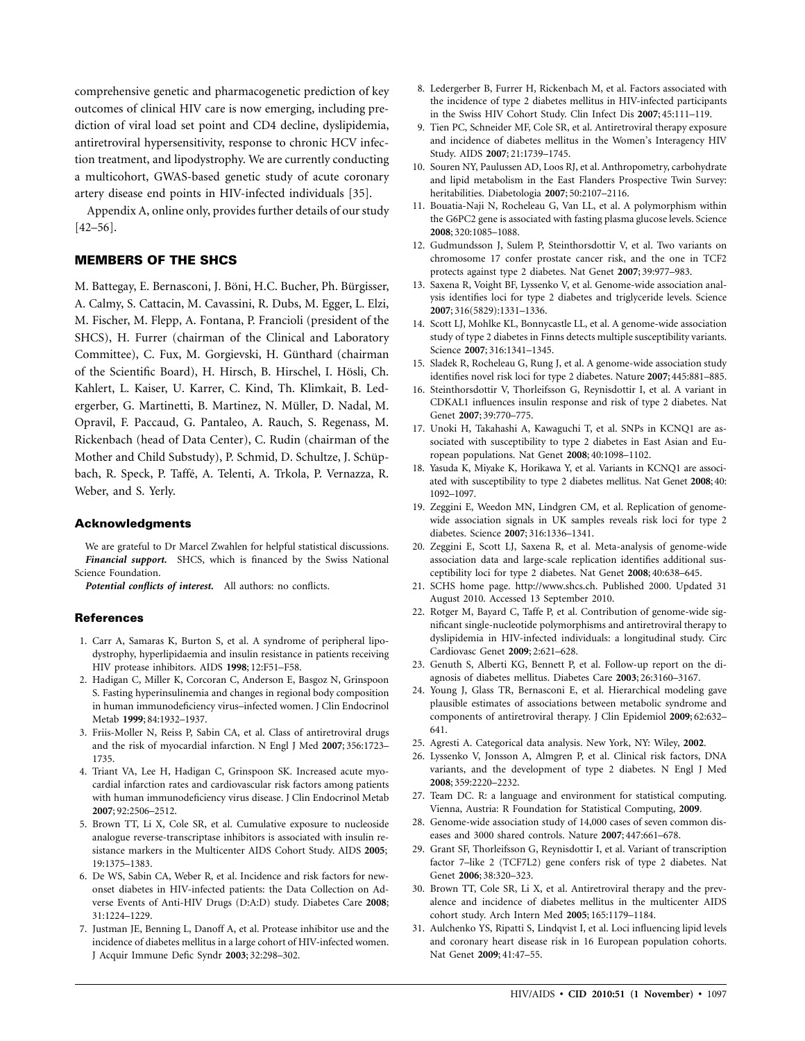comprehensive genetic and pharmacogenetic prediction of key outcomes of clinical HIV care is now emerging, including prediction of viral load set point and CD4 decline, dyslipidemia, antiretroviral hypersensitivity, response to chronic HCV infection treatment, and lipodystrophy. We are currently conducting a multicohort, GWAS-based genetic study of acute coronary artery disease end points in HIV-infected individuals [35].

Appendix A, online only, provides further details of our study [42–56].

## **MEMBERS OF THE SHCS**

M. Battegay, E. Bernasconi, J. Böni, H.C. Bucher, Ph. Bürgisser, A. Calmy, S. Cattacin, M. Cavassini, R. Dubs, M. Egger, L. Elzi, M. Fischer, M. Flepp, A. Fontana, P. Francioli (president of the SHCS), H. Furrer (chairman of the Clinical and Laboratory Committee), C. Fux, M. Gorgievski, H. Günthard (chairman of the Scientific Board), H. Hirsch, B. Hirschel, I. Hösli, Ch. Kahlert, L. Kaiser, U. Karrer, C. Kind, Th. Klimkait, B. Ledergerber, G. Martinetti, B. Martinez, N. Müller, D. Nadal, M. Opravil, F. Paccaud, G. Pantaleo, A. Rauch, S. Regenass, M. Rickenbach (head of Data Center), C. Rudin (chairman of the Mother and Child Substudy), P. Schmid, D. Schultze, J. Schüpbach, R. Speck, P. Taffé, A. Telenti, A. Trkola, P. Vernazza, R. Weber, and S. Yerly.

#### **Acknowledgments**

We are grateful to Dr Marcel Zwahlen for helpful statistical discussions. *Financial support.* SHCS, which is financed by the Swiss National Science Foundation.

*Potential conflicts of interest.* All authors: no conflicts.

#### **References**

- 1. Carr A, Samaras K, Burton S, et al. A syndrome of peripheral lipodystrophy, hyperlipidaemia and insulin resistance in patients receiving HIV protease inhibitors. AIDS **1998**; 12:F51–F58.
- 2. Hadigan C, Miller K, Corcoran C, Anderson E, Basgoz N, Grinspoon S. Fasting hyperinsulinemia and changes in regional body composition in human immunodeficiency virus–infected women. J Clin Endocrinol Metab **1999**; 84:1932–1937.
- 3. Friis-Moller N, Reiss P, Sabin CA, et al. Class of antiretroviral drugs and the risk of myocardial infarction. N Engl J Med **2007**; 356:1723– 1735.
- 4. Triant VA, Lee H, Hadigan C, Grinspoon SK. Increased acute myocardial infarction rates and cardiovascular risk factors among patients with human immunodeficiency virus disease. J Clin Endocrinol Metab **2007**; 92:2506–2512.
- 5. Brown TT, Li X, Cole SR, et al. Cumulative exposure to nucleoside analogue reverse-transcriptase inhibitors is associated with insulin resistance markers in the Multicenter AIDS Cohort Study. AIDS **2005**; 19:1375–1383.
- 6. De WS, Sabin CA, Weber R, et al. Incidence and risk factors for newonset diabetes in HIV-infected patients: the Data Collection on Adverse Events of Anti-HIV Drugs (D:A:D) study. Diabetes Care **2008**; 31:1224–1229.
- 7. Justman JE, Benning L, Danoff A, et al. Protease inhibitor use and the incidence of diabetes mellitus in a large cohort of HIV-infected women. J Acquir Immune Defic Syndr **2003**; 32:298–302.
- 8. Ledergerber B, Furrer H, Rickenbach M, et al. Factors associated with the incidence of type 2 diabetes mellitus in HIV-infected participants in the Swiss HIV Cohort Study. Clin Infect Dis **2007**; 45:111–119.
- 9. Tien PC, Schneider MF, Cole SR, et al. Antiretroviral therapy exposure and incidence of diabetes mellitus in the Women's Interagency HIV Study. AIDS **2007**; 21:1739–1745.
- 10. Souren NY, Paulussen AD, Loos RJ, et al. Anthropometry, carbohydrate and lipid metabolism in the East Flanders Prospective Twin Survey: heritabilities. Diabetologia **2007**; 50:2107–2116.
- 11. Bouatia-Naji N, Rocheleau G, Van LL, et al. A polymorphism within the G6PC2 gene is associated with fasting plasma glucose levels. Science **2008**; 320:1085–1088.
- 12. Gudmundsson J, Sulem P, Steinthorsdottir V, et al. Two variants on chromosome 17 confer prostate cancer risk, and the one in TCF2 protects against type 2 diabetes. Nat Genet **2007**; 39:977–983.
- 13. Saxena R, Voight BF, Lyssenko V, et al. Genome-wide association analysis identifies loci for type 2 diabetes and triglyceride levels. Science **2007**; 316(5829):1331–1336.
- 14. Scott LJ, Mohlke KL, Bonnycastle LL, et al. A genome-wide association study of type 2 diabetes in Finns detects multiple susceptibility variants. Science **2007**; 316:1341–1345.
- 15. Sladek R, Rocheleau G, Rung J, et al. A genome-wide association study identifies novel risk loci for type 2 diabetes. Nature **2007**; 445:881–885.
- 16. Steinthorsdottir V, Thorleifsson G, Reynisdottir I, et al. A variant in CDKAL1 influences insulin response and risk of type 2 diabetes. Nat Genet **2007**; 39:770–775.
- 17. Unoki H, Takahashi A, Kawaguchi T, et al. SNPs in KCNQ1 are associated with susceptibility to type 2 diabetes in East Asian and European populations. Nat Genet **2008**; 40:1098–1102.
- 18. Yasuda K, Miyake K, Horikawa Y, et al. Variants in KCNQ1 are associated with susceptibility to type 2 diabetes mellitus. Nat Genet **2008**; 40: 1092–1097.
- 19. Zeggini E, Weedon MN, Lindgren CM, et al. Replication of genomewide association signals in UK samples reveals risk loci for type 2 diabetes. Science **2007**; 316:1336–1341.
- 20. Zeggini E, Scott LJ, Saxena R, et al. Meta-analysis of genome-wide association data and large-scale replication identifies additional susceptibility loci for type 2 diabetes. Nat Genet **2008**; 40:638–645.
- 21. SCHS home page. http://www.shcs.ch. Published 2000. Updated 31 August 2010. Accessed 13 September 2010.
- 22. Rotger M, Bayard C, Taffe P, et al. Contribution of genome-wide significant single-nucleotide polymorphisms and antiretroviral therapy to dyslipidemia in HIV-infected individuals: a longitudinal study. Circ Cardiovasc Genet **2009**; 2:621–628.
- 23. Genuth S, Alberti KG, Bennett P, et al. Follow-up report on the diagnosis of diabetes mellitus. Diabetes Care **2003**; 26:3160–3167.
- 24. Young J, Glass TR, Bernasconi E, et al. Hierarchical modeling gave plausible estimates of associations between metabolic syndrome and components of antiretroviral therapy. J Clin Epidemiol **2009**; 62:632– 641.
- 25. Agresti A. Categorical data analysis. New York, NY: Wiley, **2002**.
- 26. Lyssenko V, Jonsson A, Almgren P, et al. Clinical risk factors, DNA variants, and the development of type 2 diabetes. N Engl J Med **2008**; 359:2220–2232.
- 27. Team DC. R: a language and environment for statistical computing. Vienna, Austria: R Foundation for Statistical Computing, **2009**.
- 28. Genome-wide association study of 14,000 cases of seven common diseases and 3000 shared controls. Nature **2007**; 447:661–678.
- 29. Grant SF, Thorleifsson G, Reynisdottir I, et al. Variant of transcription factor 7–like 2 (TCF7L2) gene confers risk of type 2 diabetes. Nat Genet **2006**; 38:320–323.
- 30. Brown TT, Cole SR, Li X, et al. Antiretroviral therapy and the prevalence and incidence of diabetes mellitus in the multicenter AIDS cohort study. Arch Intern Med **2005**; 165:1179–1184.
- 31. Aulchenko YS, Ripatti S, Lindqvist I, et al. Loci influencing lipid levels and coronary heart disease risk in 16 European population cohorts. Nat Genet **2009**; 41:47–55.